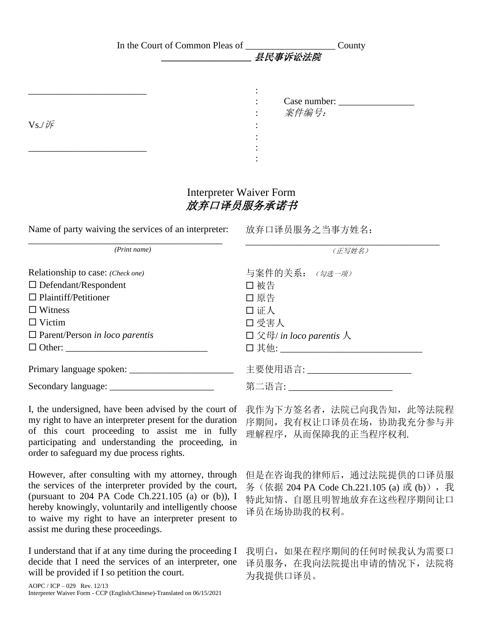| In the Court of Common Pleas of                                                                 | County<br>县民事诉讼法院                            |
|-------------------------------------------------------------------------------------------------|----------------------------------------------|
| $Vs/\sqrt{F}$                                                                                   | Case number:<br>案件编号:                        |
|                                                                                                 | <b>Interpreter Waiver Form</b><br>放弃口译员服务承诺书 |
| Name of party waiving the services of an interpreter: 放弃口译员服务之当事方姓名:                            |                                              |
| (Print name)                                                                                    | (正写姓名)                                       |
| Relationship to case: (Check one)<br>$\Box$ Defendant/Respondent<br>$\Box$ Plaintiff/Petitioner | 与案件的关系: (勾选一项)<br>□ 被告<br>□ 原告               |

| I, the undersigned, have been advised by the court of    |  |
|----------------------------------------------------------|--|
| my right to have an interpreter present for the duration |  |
| of this court proceeding to assist me in fully           |  |
| participating and understanding the proceeding, in       |  |
| order to safeguard my due process rights.                |  |

 Witness 证人 □ Victim コ 受害人

Parent/Person *in loco parentis* 父母/ *in loco parentis* 人

Other: \_\_\_\_\_\_\_\_\_\_\_\_\_\_\_\_\_\_\_\_\_\_\_\_\_\_\_\_\_\_ 其他: \_\_\_\_\_\_\_\_\_\_\_\_\_\_\_\_\_\_\_\_\_\_\_\_\_\_\_\_\_\_

Primary language spoken: \_\_\_\_\_\_\_\_\_\_\_\_\_\_\_\_\_\_\_\_\_\_ 主要使用语言: \_\_\_\_\_\_\_\_\_\_\_\_\_\_\_\_\_\_\_\_\_\_

Secondary language: \_\_\_\_\_\_\_\_\_\_\_\_\_\_\_\_\_\_\_\_\_\_ 第二语言: \_\_\_\_\_\_\_\_\_\_\_\_\_\_\_\_\_\_\_\_\_\_

However, after consulting with my attorney, through the services of the interpreter provided by the court, (pursuant to 204 PA Code Ch.221.105 (a) or (b)), I hereby knowingly, voluntarily and intelligently choose to waive my right to have an interpreter present to assist me during these proceedings.

I understand that if at any time during the proceeding I decide that I need the services of an interpreter, one will be provided if I so petition the court.

我作为下方签名者,法院已向我告知,此等法院程 序期间,我有权让口译员在场,协助我充分参与并 理解程序,从而保障我的正当程序权利.

但是在咨询我的律师后,通过法院提供的口译员服 务(依据 204 PA Code Ch.221.105 (a) 或 (b)),我 特此知情、自愿且明智地放弃在这些程序期间让口 译员在场协助我的权利。

我明白,如果在程序期间的任何时候我认为需要口 译员服务,在我向法院提出申请的情况下,法院将 为我提供口译员。